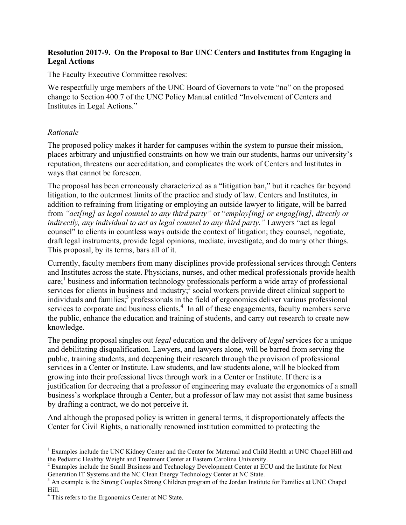## **Resolution 2017-9. On the Proposal to Bar UNC Centers and Institutes from Engaging in Legal Actions**

The Faculty Executive Committee resolves:

We respectfully urge members of the UNC Board of Governors to vote "no" on the proposed change to Section 400.7 of the UNC Policy Manual entitled "Involvement of Centers and Institutes in Legal Actions."

## *Rationale*

The proposed policy makes it harder for campuses within the system to pursue their mission, places arbitrary and unjustified constraints on how we train our students, harms our university's reputation, threatens our accreditation, and complicates the work of Centers and Institutes in ways that cannot be foreseen.

The proposal has been erroneously characterized as a "litigation ban," but it reaches far beyond litigation, to the outermost limits of the practice and study of law. Centers and Institutes, in addition to refraining from litigating or employing an outside lawyer to litigate, will be barred from *"act[ing] as legal counsel to any third party"* or "*employ[ing] or engag[ing], directly or indirectly, any individual to act as legal counsel to any third party."* Lawyers "act as legal counsel" to clients in countless ways outside the context of litigation; they counsel, negotiate, draft legal instruments, provide legal opinions, mediate, investigate, and do many other things. This proposal, by its terms, bars all of it.

Currently, faculty members from many disciplines provide professional services through Centers and Institutes across the state. Physicians, nurses, and other medical professionals provide health care;<sup>1</sup> business and information technology professionals perform a wide array of professional services for clients in business and industry;<sup>2</sup> social workers provide direct clinical support to individuals and families;<sup>3</sup> professionals in the field of ergonomics deliver various professional services to corporate and business clients. $<sup>4</sup>$  In all of these engagements, faculty members serve</sup> the public, enhance the education and training of students, and carry out research to create new knowledge.

The pending proposal singles out *legal* education and the delivery of *legal* services for a unique and debilitating disqualification. Lawyers, and lawyers alone, will be barred from serving the public, training students, and deepening their research through the provision of professional services in a Center or Institute. Law students, and law students alone, will be blocked from growing into their professional lives through work in a Center or Institute. If there is a justification for decreeing that a professor of engineering may evaluate the ergonomics of a small business's workplace through a Center, but a professor of law may not assist that same business by drafting a contract, we do not perceive it.

And although the proposed policy is written in general terms, it disproportionately affects the Center for Civil Rights, a nationally renowned institution committed to protecting the

<sup>&</sup>lt;sup>1</sup> Examples include the UNC Kidney Center and the Center for Maternal and Child Health at UNC Chapel Hill and the Pediatric Healthy Weight and Treatment Center at Eastern Carolina University.

<sup>&</sup>lt;sup>2</sup> Examples include the Small Business and Technology Development Center at ECU and the Institute for Next Generation IT Systems and the NC Clean Energy Technology Center at NC State.

<sup>&</sup>lt;sup>3</sup> An example is the Strong Couples Strong Children program of the Jordan Institute for Families at UNC Chapel Hill.

<sup>4</sup> This refers to the Ergonomics Center at NC State.